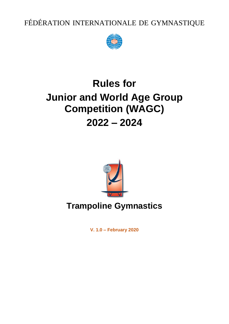FÉDÉRATION INTERNATIONALE DE GYMNASTIQUE



# **Rules for Junior and World Age Group Competition (WAGC) 2022 – 2024**



# **Trampoline Gymnastics**

**V. 1.0 – February 2020**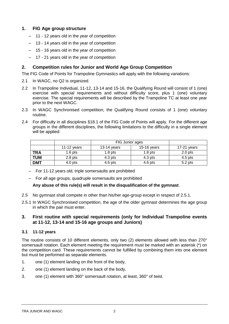## **1. FIG Age group structure**

- 11 12 years old in the year of competition
- 13 14 years old in the year of competition
- 15 16 years old in the year of competition
- 17 21 years old in the year of competition

## **2. Competition rules for Junior and World Age Group Competition**

The FIG Code of Points for Trampoline Gymnastics will apply with the following variations:

- 2.1 In WAGC, no Q2 is organized.
- 2.2 In Trampoline Individual, 11-12, 13-14 and 15-16, the Qualifying Round will consist of 1 (one) exercise with special requirements and without difficulty score, plus 1 (one) voluntary exercise. The special requirements will be described by the Trampoline TC at least one year prior to the next WAGC.
- 2.3 In WAGC Synchronised competition, the Qualifying Round consists of 1 (one) voluntary routine.
- 2.4 For difficulty in all disciplines §18.1 of the FIG Code of Points will apply. For the different age groups in the different disciplines, the following limitations to the difficulty in a single element will be applied:

|            |             | FIG Junior ages |                    |                    |
|------------|-------------|-----------------|--------------------|--------------------|
|            | 11-12 years | 13-14 years     | $15-16$ years      | $17-21$ years      |
| <b>TRA</b> | $1.6$ pts   | $1.8$ pts       | 1.8 <sub>pts</sub> | 2.0 <sub>pts</sub> |
| <b>TUM</b> | $2.8$ pts   | $4.3$ pts       | $4.3$ pts          | $4.5$ pts          |
| <b>DMT</b> | $4.0$ pts   | $4.6$ pts       | $4.6$ pts          | $5.2$ pts          |

- For 11-12 years old, triple somersaults are prohibited
- For all age groups, quadruple somersaults are prohibited

#### **Any abuse of this rule(s) will result in the disqualification of the gymnast**.

- 2.5 No gymnast shall compete in other than his/her age-group except in respect of 2.5.1.
- 2.5.1 In WAGC Synchronised competition, the age of the older gymnast determines the age group in which the pair must enter.

#### **3. First routine with special requirements (only for Individual Trampoline events at 11-12, 13-14 and 15-16 age groups and Juniors)**

#### **3.1 11-12 years**

The routine consists of 10 different elements, only two (2) elements allowed with less than 270° somersault rotation. Each element meeting the requirement must be marked with an asterisk (\*) on the competition card. These requirements cannot be fulfilled by combining them into one element but must be performed as separate elements.

- 1. one (1) element landing on the front of the body,
- 2. one (1) element landing on the back of the body,
- 3. one (1) element with 360° somersault rotation, at least, 360° of twist.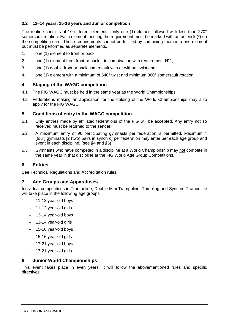#### **3.2 13–14 years, 15-16 years and Junior competition**

The routine consists of 10 different elements, only one (1) element allowed with less than 270° somersault rotation. Each element meeting the requirement must be marked with an asterisk (\*) on the competition card. These requirements cannot be fulfilled by combining them into one element but must be performed as separate elements.

- 1. one (1) element to front or back,
- 2. one (1) element from front or back in combination with requirement  $N^{\circ}1$ ,
- 3. one (1) double front or back somersault with or without twist and
- 4. one (1) element with a minimum of 540° twist and minimum 360° somersault rotation.

#### **4. Staging of the WAGC competition**

- 4.1 The FIG WAGC must be held in the same year as the World Championships.
- 4.2 Federations making an application for the holding of the World Championships may also apply for the FIG WAGC.

#### **5. Conditions of entry in the WAGC competition**

- 5.1 Only entries made by affiliated federations of the FIG will be accepted. Any entry not so received must be returned to the sender.
- 5.2 A maximum entry of 96 participating gymnasts per federation is permitted. Maximum 4 (four) aymnasts [2 (two) pairs in synchrol per federation may enter per each age group and event in each discipline. (see §4 and §5)
- 5.3 Gymnasts who have competed in a discipline at a World Championship may not compete in the same year in that discipline at the FIG World Age Group Competitions.

#### **6. Entries**

See Technical Regulations and Accreditation rules.

#### **7. Age Groups and Apparatuses**

Individual competitions in Trampoline, Double Mini-Trampoline, Tumbling and Synchro Trampoline will take place in the following age groups:

- 11-12 year-old boys
- 11-12 year-old girls
- 13-14 year-old boys
- 13-14 year-old girls
- 15-16 year-old boys
- 15-16 year-old girls
- 17-21 year-old boys
- 17-21 year-old girls

#### **8. Junior World Championships**

This event takes place in even years. It will follow the abovementioned rules and specific directives.